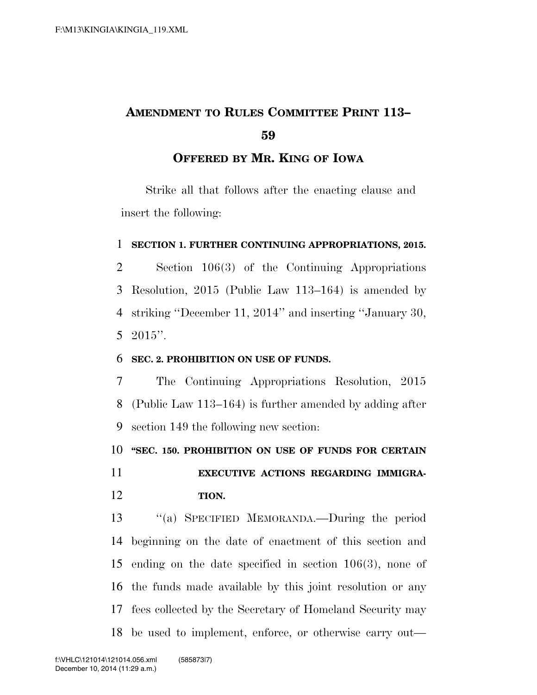# **AMENDMENT TO RULES COMMITTEE PRINT 113–**

### **OFFERED BY MR. KING OF IOWA**

Strike all that follows after the enacting clause and insert the following:

#### **SECTION 1. FURTHER CONTINUING APPROPRIATIONS, 2015.**

 Section 106(3) of the Continuing Appropriations Resolution, 2015 (Public Law 113–164) is amended by striking ''December 11, 2014'' and inserting ''January 30, 2015''.

#### **SEC. 2. PROHIBITION ON USE OF FUNDS.**

 The Continuing Appropriations Resolution, 2015 (Public Law 113–164) is further amended by adding after section 149 the following new section:

**''SEC. 150. PROHIBITION ON USE OF FUNDS FOR CERTAIN** 

 **EXECUTIVE ACTIONS REGARDING IMMIGRA-TION.** 

 ''(a) SPECIFIED MEMORANDA.—During the period beginning on the date of enactment of this section and ending on the date specified in section 106(3), none of the funds made available by this joint resolution or any fees collected by the Secretary of Homeland Security may be used to implement, enforce, or otherwise carry out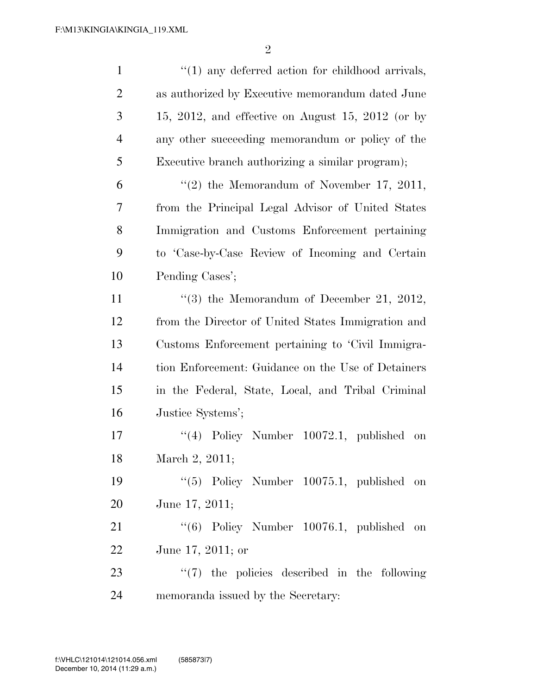| $\mathbf{1}$   | $\lq(1)$ any deferred action for childhood arrivals, |
|----------------|------------------------------------------------------|
| $\overline{2}$ | as authorized by Executive memorandum dated June     |
| 3              | $15, 2012,$ and effective on August 15, 2012 (or by  |
| $\overline{4}$ | any other succeeding memorandum or policy of the     |
| 5              | Executive branch authorizing a similar program);     |
| 6              | $\lq(2)$ the Memorandum of November 17, 2011,        |
| 7              | from the Principal Legal Advisor of United States    |
| 8              | Immigration and Customs Enforcement pertaining       |
| 9              | to 'Case-by-Case Review of Incoming and Certain      |
| 10             | Pending Cases';                                      |
| 11             | $(3)$ the Memorandum of December 21, 2012,           |
| 12             | from the Director of United States Immigration and   |
| 13             | Customs Enforcement pertaining to 'Civil Immigra-    |
| 14             | tion Enforcement: Guidance on the Use of Detainers   |
| 15             | in the Federal, State, Local, and Tribal Criminal    |
| 16             | Justice Systems';                                    |
| 17             | $(4)$ Policy Number 10072.1, published on            |
| 18             | March 2, 2011;                                       |
| 19             | "(5) Policy Number 10075.1, published on             |
| 20             | June 17, 2011;                                       |
| 21             | $(6)$ Policy Number 10076.1, published on            |
| 22             | June 17, 2011; or                                    |
| 23             | $\lq(7)$ the policies described in the following     |
| 24             | memoranda issued by the Secretary:                   |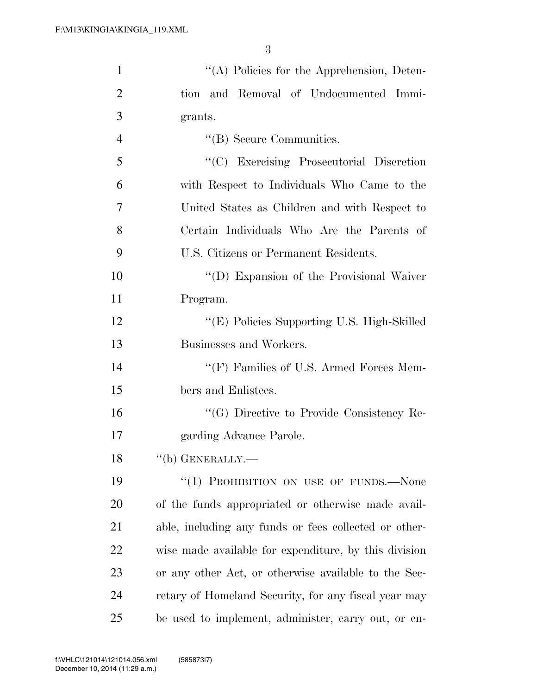| $\mathbf{1}$   | "(A) Policies for the Apprehension, Deten-            |
|----------------|-------------------------------------------------------|
| $\overline{2}$ | tion and Removal of Undocumented Immi-                |
| 3              | grants.                                               |
| $\overline{4}$ | $\lq\lq$ Secure Communities.                          |
| 5              | "(C) Exercising Prosecutorial Discretion              |
| 6              | with Respect to Individuals Who Came to the           |
| 7              | United States as Children and with Respect to         |
| 8              | Certain Individuals Who Are the Parents of            |
| 9              | U.S. Citizens or Permanent Residents.                 |
| 10             | "(D) Expansion of the Provisional Waiver              |
| 11             | Program.                                              |
| 12             | "(E) Policies Supporting U.S. High-Skilled            |
| 13             | Businesses and Workers.                               |
| 14             | "(F) Families of U.S. Armed Forces Mem-               |
| 15             | bers and Enlistees.                                   |
| 16             | "(G) Directive to Provide Consistency Re-             |
| 17             | garding Advance Parole.                               |
| 18             | $``$ (b) GENERALLY.—                                  |
| 19             | "(1) PROHIBITION ON USE OF FUNDS.—None                |
| 20             | of the funds appropriated or otherwise made avail-    |
| 21             | able, including any funds or fees collected or other- |
| 22             | wise made available for expenditure, by this division |
| 23             | or any other Act, or otherwise available to the Sec-  |
| 24             | retary of Homeland Security, for any fiscal year may  |
| 25             | be used to implement, administer, carry out, or en-   |